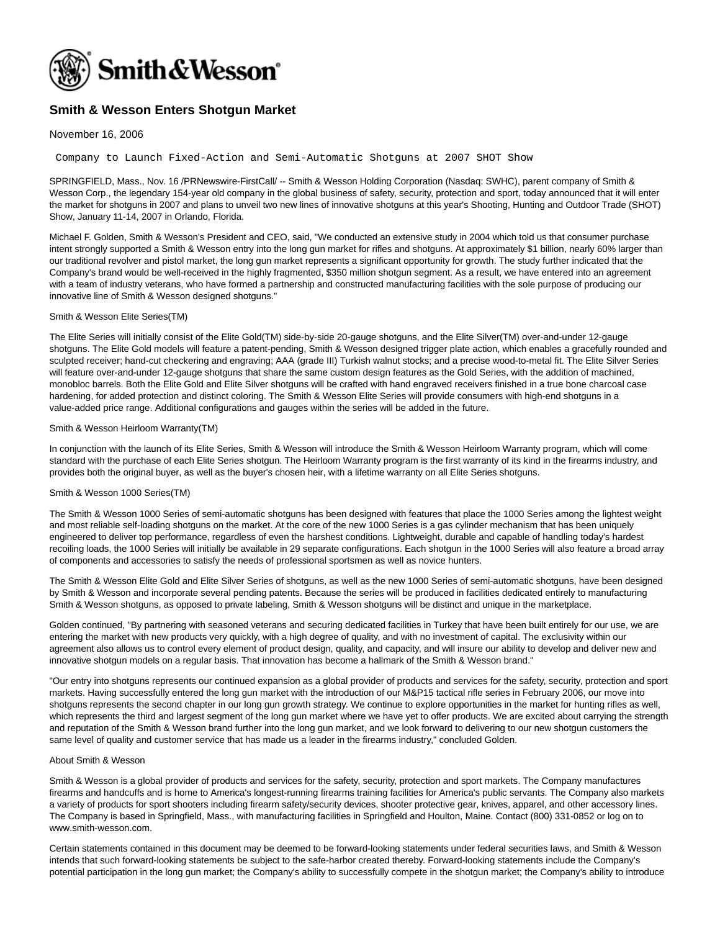

# **Smith & Wesson Enters Shotgun Market**

## November 16, 2006

Company to Launch Fixed-Action and Semi-Automatic Shotguns at 2007 SHOT Show

SPRINGFIELD, Mass., Nov. 16 /PRNewswire-FirstCall/ -- Smith & Wesson Holding Corporation (Nasdaq: SWHC), parent company of Smith & Wesson Corp., the legendary 154-year old company in the global business of safety, security, protection and sport, today announced that it will enter the market for shotguns in 2007 and plans to unveil two new lines of innovative shotguns at this year's Shooting, Hunting and Outdoor Trade (SHOT) Show, January 11-14, 2007 in Orlando, Florida.

Michael F. Golden, Smith & Wesson's President and CEO, said, "We conducted an extensive study in 2004 which told us that consumer purchase intent strongly supported a Smith & Wesson entry into the long gun market for rifles and shotguns. At approximately \$1 billion, nearly 60% larger than our traditional revolver and pistol market, the long gun market represents a significant opportunity for growth. The study further indicated that the Company's brand would be well-received in the highly fragmented, \$350 million shotgun segment. As a result, we have entered into an agreement with a team of industry veterans, who have formed a partnership and constructed manufacturing facilities with the sole purpose of producing our innovative line of Smith & Wesson designed shotguns."

## Smith & Wesson Elite Series(TM)

The Elite Series will initially consist of the Elite Gold(TM) side-by-side 20-gauge shotguns, and the Elite Silver(TM) over-and-under 12-gauge shotguns. The Elite Gold models will feature a patent-pending, Smith & Wesson designed trigger plate action, which enables a gracefully rounded and sculpted receiver; hand-cut checkering and engraving; AAA (grade III) Turkish walnut stocks; and a precise wood-to-metal fit. The Elite Silver Series will feature over-and-under 12-gauge shotguns that share the same custom design features as the Gold Series, with the addition of machined, monobloc barrels. Both the Elite Gold and Elite Silver shotguns will be crafted with hand engraved receivers finished in a true bone charcoal case hardening, for added protection and distinct coloring. The Smith & Wesson Elite Series will provide consumers with high-end shotguns in a value-added price range. Additional configurations and gauges within the series will be added in the future.

#### Smith & Wesson Heirloom Warranty(TM)

In conjunction with the launch of its Elite Series, Smith & Wesson will introduce the Smith & Wesson Heirloom Warranty program, which will come standard with the purchase of each Elite Series shotgun. The Heirloom Warranty program is the first warranty of its kind in the firearms industry, and provides both the original buyer, as well as the buyer's chosen heir, with a lifetime warranty on all Elite Series shotguns.

#### Smith & Wesson 1000 Series(TM)

The Smith & Wesson 1000 Series of semi-automatic shotguns has been designed with features that place the 1000 Series among the lightest weight and most reliable self-loading shotguns on the market. At the core of the new 1000 Series is a gas cylinder mechanism that has been uniquely engineered to deliver top performance, regardless of even the harshest conditions. Lightweight, durable and capable of handling today's hardest recoiling loads, the 1000 Series will initially be available in 29 separate configurations. Each shotgun in the 1000 Series will also feature a broad array of components and accessories to satisfy the needs of professional sportsmen as well as novice hunters.

The Smith & Wesson Elite Gold and Elite Silver Series of shotguns, as well as the new 1000 Series of semi-automatic shotguns, have been designed by Smith & Wesson and incorporate several pending patents. Because the series will be produced in facilities dedicated entirely to manufacturing Smith & Wesson shotguns, as opposed to private labeling, Smith & Wesson shotguns will be distinct and unique in the marketplace.

Golden continued, "By partnering with seasoned veterans and securing dedicated facilities in Turkey that have been built entirely for our use, we are entering the market with new products very quickly, with a high degree of quality, and with no investment of capital. The exclusivity within our agreement also allows us to control every element of product design, quality, and capacity, and will insure our ability to develop and deliver new and innovative shotgun models on a regular basis. That innovation has become a hallmark of the Smith & Wesson brand."

"Our entry into shotguns represents our continued expansion as a global provider of products and services for the safety, security, protection and sport markets. Having successfully entered the long gun market with the introduction of our M&P15 tactical rifle series in February 2006, our move into shotguns represents the second chapter in our long gun growth strategy. We continue to explore opportunities in the market for hunting rifles as well, which represents the third and largest segment of the long gun market where we have yet to offer products. We are excited about carrying the strength and reputation of the Smith & Wesson brand further into the long gun market, and we look forward to delivering to our new shotgun customers the same level of quality and customer service that has made us a leader in the firearms industry," concluded Golden.

#### About Smith & Wesson

Smith & Wesson is a global provider of products and services for the safety, security, protection and sport markets. The Company manufactures firearms and handcuffs and is home to America's longest-running firearms training facilities for America's public servants. The Company also markets a variety of products for sport shooters including firearm safety/security devices, shooter protective gear, knives, apparel, and other accessory lines. The Company is based in Springfield, Mass., with manufacturing facilities in Springfield and Houlton, Maine. Contact (800) 331-0852 or log on to www.smith-wesson.com.

Certain statements contained in this document may be deemed to be forward-looking statements under federal securities laws, and Smith & Wesson intends that such forward-looking statements be subject to the safe-harbor created thereby. Forward-looking statements include the Company's potential participation in the long gun market; the Company's ability to successfully compete in the shotgun market; the Company's ability to introduce